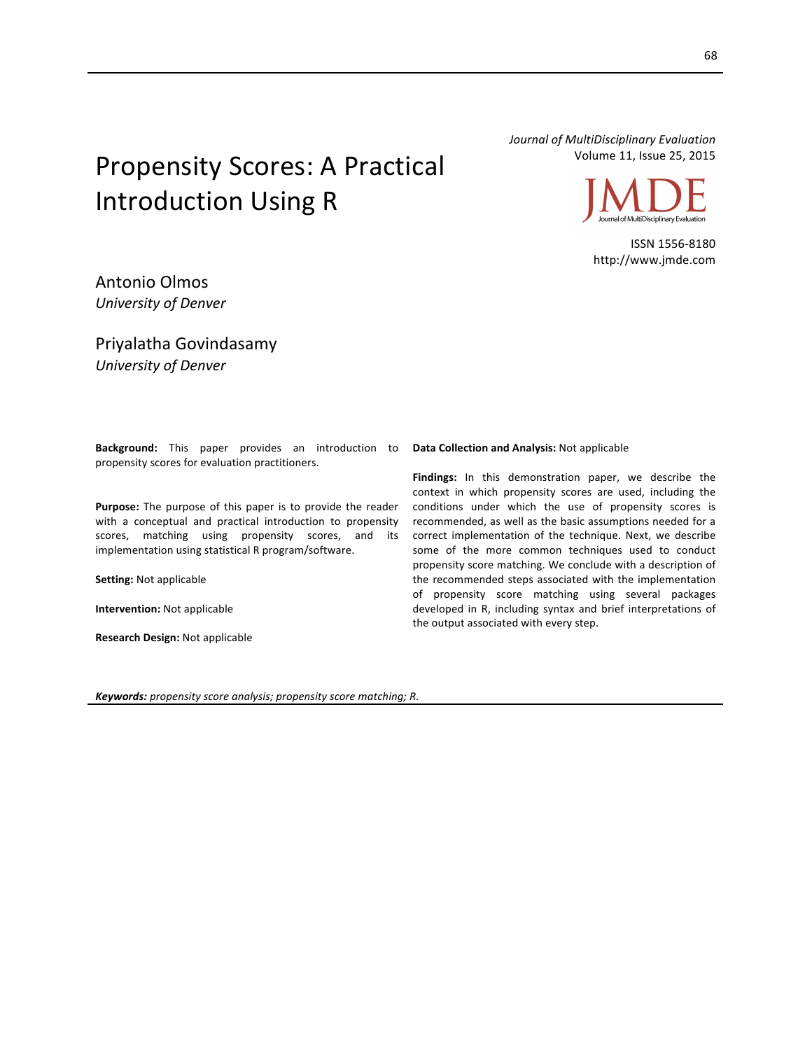Propensity Scores: A Practical **Introduction Using R** 

*Journal of MultiDisciplinary Evaluation* Volume 11, Issue 25, 2015



ISSN 1556-8180 http://www.jmde.com

Antonio Olmos *University of Denver*

Priyalatha Govindasamy *University of Denver*

**Background:** This paper provides an introduction to propensity scores for evaluation practitioners.

**Purpose:** The purpose of this paper is to provide the reader with a conceptual and practical introduction to propensity scores, matching using propensity scores, and its implementation using statistical R program/software.

**Setting: Not applicable** 

**Intervention:** Not applicable

**Research Design:** Not applicable

**Data Collection and Analysis:** Not applicable

**Findings:** In this demonstration paper, we describe the context in which propensity scores are used, including the conditions under which the use of propensity scores is recommended, as well as the basic assumptions needed for a correct implementation of the technique. Next, we describe some of the more common techniques used to conduct propensity score matching. We conclude with a description of the recommended steps associated with the implementation of propensity score matching using several packages developed in R, including syntax and brief interpretations of the output associated with every step.

*Keywords: propensity score analysis; propensity score matching; R.*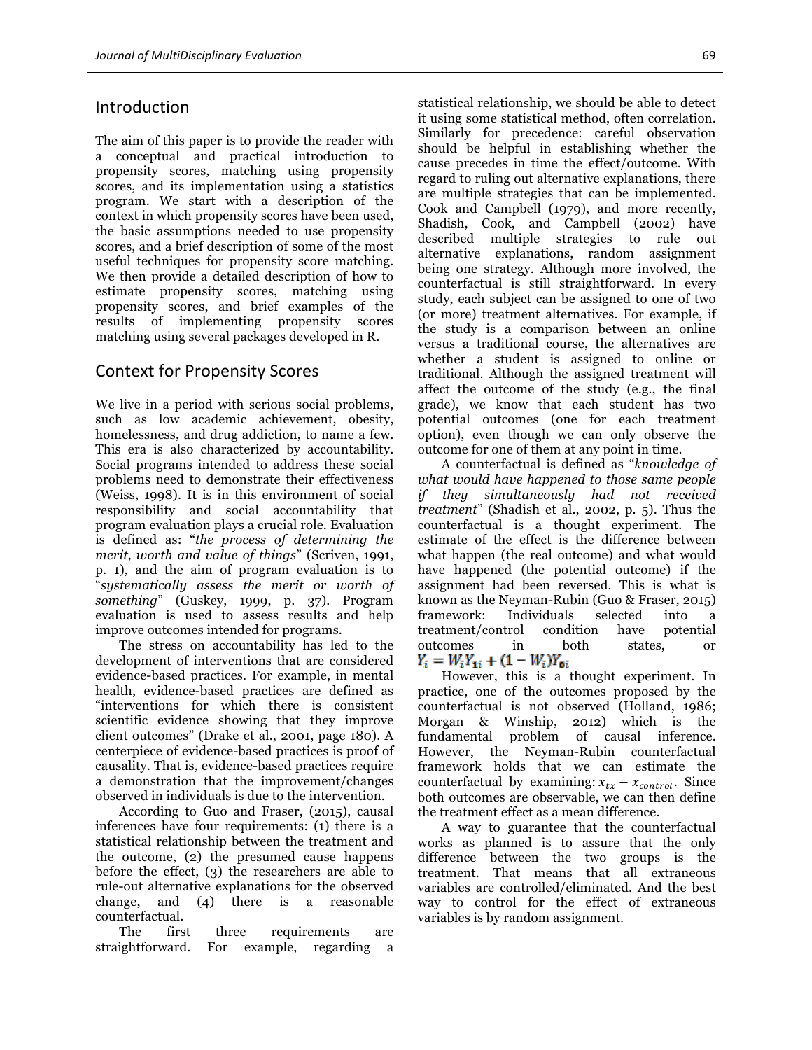## Introduction

The aim of this paper is to provide the reader with a conceptual and practical introduction to propensity scores, matching using propensity scores, and its implementation using a statistics program. We start with a description of the context in which propensity scores have been used, the basic assumptions needed to use propensity scores, and a brief description of some of the most useful techniques for propensity score matching. We then provide a detailed description of how to estimate propensity scores, matching using propensity scores, and brief examples of the results of implementing propensity scores matching using several packages developed in R.

## Context for Propensity Scores

We live in a period with serious social problems, such as low academic achievement, obesity, homelessness, and drug addiction, to name a few. This era is also characterized by accountability. Social programs intended to address these social problems need to demonstrate their effectiveness (Weiss, 1998). It is in this environment of social responsibility and social accountability that program evaluation plays a crucial role. Evaluation is defined as: "*the process of determining the merit, worth and value of things*" (Scriven, 1991, p. 1), and the aim of program evaluation is to "*systematically assess the merit or worth of something*" (Guskey, 1999, p. 37). Program evaluation is used to assess results and help improve outcomes intended for programs.

The stress on accountability has led to the development of interventions that are considered evidence-based practices. For example, in mental health, evidence-based practices are defined as "interventions for which there is consistent scientific evidence showing that they improve client outcomes" (Drake et al., 2001, page 180). A centerpiece of evidence-based practices is proof of causality. That is, evidence-based practices require a demonstration that the improvement/changes observed in individuals is due to the intervention.

According to Guo and Fraser, (2015), causal inferences have four requirements: (1) there is a statistical relationship between the treatment and the outcome, (2) the presumed cause happens before the effect, (3) the researchers are able to rule-out alternative explanations for the observed change, and (4) there is a reasonable counterfactual.

The first three requirements are straightforward. For example, regarding a statistical relationship, we should be able to detect it using some statistical method, often correlation. Similarly for precedence: careful observation should be helpful in establishing whether the cause precedes in time the effect/outcome. With regard to ruling out alternative explanations, there are multiple strategies that can be implemented. Cook and Campbell (1979), and more recently, Shadish, Cook, and Campbell (2002) have described multiple strategies to rule out alternative explanations, random assignment being one strategy. Although more involved, the counterfactual is still straightforward. In every study, each subject can be assigned to one of two (or more) treatment alternatives. For example, if the study is a comparison between an online versus a traditional course, the alternatives are whether a student is assigned to online or traditional. Although the assigned treatment will affect the outcome of the study (e.g., the final grade), we know that each student has two potential outcomes (one for each treatment option), even though we can only observe the outcome for one of them at any point in time.

A counterfactual is defined as "*knowledge of what would have happened to those same people if they simultaneously had not received treatment*" (Shadish et al., 2002, p. 5). Thus the counterfactual is a thought experiment. The estimate of the effect is the difference between what happen (the real outcome) and what would have happened (the potential outcome) if the assignment had been reversed. This is what is known as the Neyman-Rubin (Guo & Fraser, 2015) framework: Individuals selected into a treatment/control condition have potential outcomes in both states, or  $Y_i = W_i Y_{1i} + (1 - W_i) Y_{0i}$ 

However, this is a thought experiment. In practice, one of the outcomes proposed by the counterfactual is not observed (Holland, 1986; Morgan & Winship, 2012) which is the fundamental problem of causal inference. However, the Neyman-Rubin counterfactual framework holds that we can estimate the counterfactual by examining:  $\bar{x}_{tx} - \bar{x}_{control}$ . Since both outcomes are observable, we can then define the treatment effect as a mean difference.

A way to guarantee that the counterfactual works as planned is to assure that the only difference between the two groups is the treatment. That means that all extraneous variables are controlled/eliminated. And the best way to control for the effect of extraneous variables is by random assignment.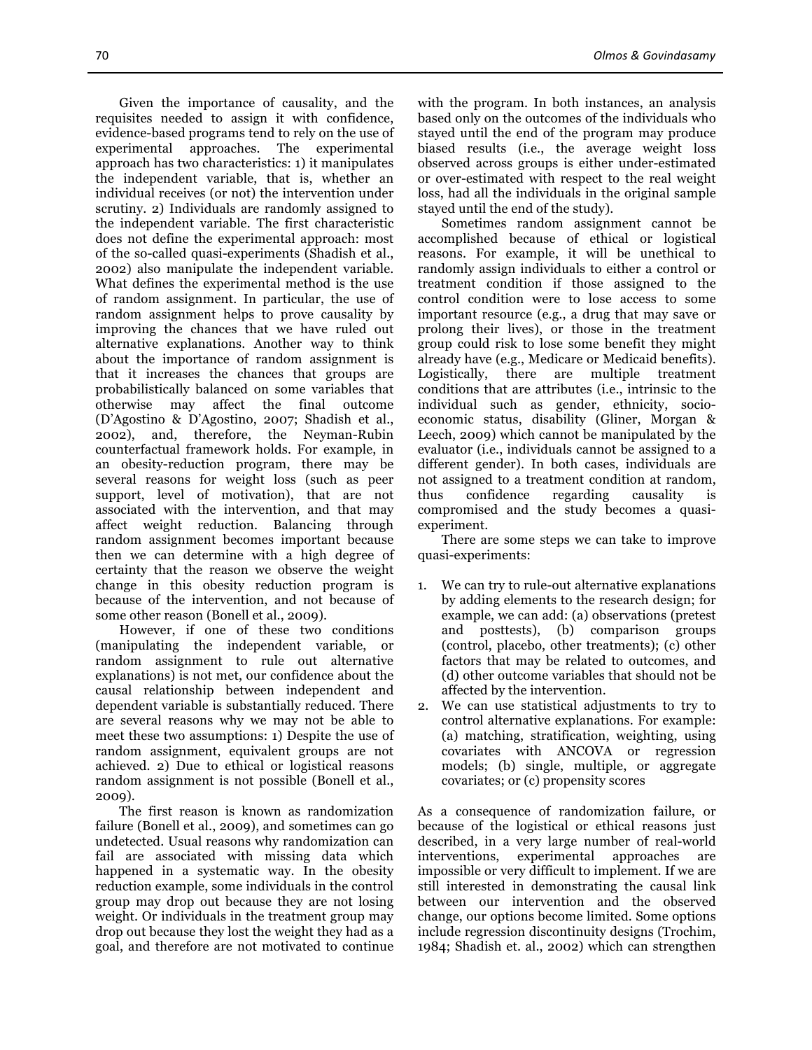Given the importance of causality, and the requisites needed to assign it with confidence, evidence-based programs tend to rely on the use of experimental approaches. The experimental approach has two characteristics: 1) it manipulates the independent variable, that is, whether an individual receives (or not) the intervention under scrutiny. 2) Individuals are randomly assigned to the independent variable. The first characteristic does not define the experimental approach: most of the so-called quasi-experiments (Shadish et al., 2002) also manipulate the independent variable. What defines the experimental method is the use of random assignment. In particular, the use of random assignment helps to prove causality by improving the chances that we have ruled out alternative explanations. Another way to think about the importance of random assignment is that it increases the chances that groups are probabilistically balanced on some variables that

otherwise may affect the final outcome (D'Agostino & D'Agostino, 2007; Shadish et al., 2002), and, therefore, the Neyman-Rubin counterfactual framework holds. For example, in an obesity-reduction program, there may be several reasons for weight loss (such as peer support, level of motivation), that are not associated with the intervention, and that may affect weight reduction. Balancing through random assignment becomes important because then we can determine with a high degree of certainty that the reason we observe the weight change in this obesity reduction program is because of the intervention, and not because of some other reason (Bonell et al., 2009).

However, if one of these two conditions (manipulating the independent variable, or random assignment to rule out alternative explanations) is not met, our confidence about the causal relationship between independent and dependent variable is substantially reduced. There are several reasons why we may not be able to meet these two assumptions: 1) Despite the use of random assignment, equivalent groups are not achieved. 2) Due to ethical or logistical reasons random assignment is not possible (Bonell et al., 2009).

The first reason is known as randomization failure (Bonell et al., 2009), and sometimes can go undetected. Usual reasons why randomization can fail are associated with missing data which happened in a systematic way. In the obesity reduction example, some individuals in the control group may drop out because they are not losing weight. Or individuals in the treatment group may drop out because they lost the weight they had as a goal, and therefore are not motivated to continue

with the program. In both instances, an analysis based only on the outcomes of the individuals who stayed until the end of the program may produce biased results (i.e., the average weight loss observed across groups is either under-estimated or over-estimated with respect to the real weight loss, had all the individuals in the original sample stayed until the end of the study).

Sometimes random assignment cannot be accomplished because of ethical or logistical reasons. For example, it will be unethical to randomly assign individuals to either a control or treatment condition if those assigned to the control condition were to lose access to some important resource (e.g., a drug that may save or prolong their lives), or those in the treatment group could risk to lose some benefit they might already have (e.g., Medicare or Medicaid benefits). Logistically, there are multiple treatment conditions that are attributes (i.e., intrinsic to the individual such as gender, ethnicity, socioeconomic status, disability (Gliner, Morgan & Leech, 2009) which cannot be manipulated by the evaluator (i.e., individuals cannot be assigned to a different gender). In both cases, individuals are not assigned to a treatment condition at random, thus confidence regarding causality is compromised and the study becomes a quasiexperiment.

There are some steps we can take to improve quasi-experiments:

- 1. We can try to rule-out alternative explanations by adding elements to the research design; for example, we can add: (a) observations (pretest and posttests), (b) comparison groups (control, placebo, other treatments); (c) other factors that may be related to outcomes, and (d) other outcome variables that should not be affected by the intervention.
- 2. We can use statistical adjustments to try to control alternative explanations. For example: (a) matching, stratification, weighting, using covariates with ANCOVA or regression models; (b) single, multiple, or aggregate covariates; or (c) propensity scores

As a consequence of randomization failure, or because of the logistical or ethical reasons just described, in a very large number of real-world interventions, experimental approaches are impossible or very difficult to implement. If we are still interested in demonstrating the causal link between our intervention and the observed change, our options become limited. Some options include regression discontinuity designs (Trochim, 1984; Shadish et. al., 2002) which can strengthen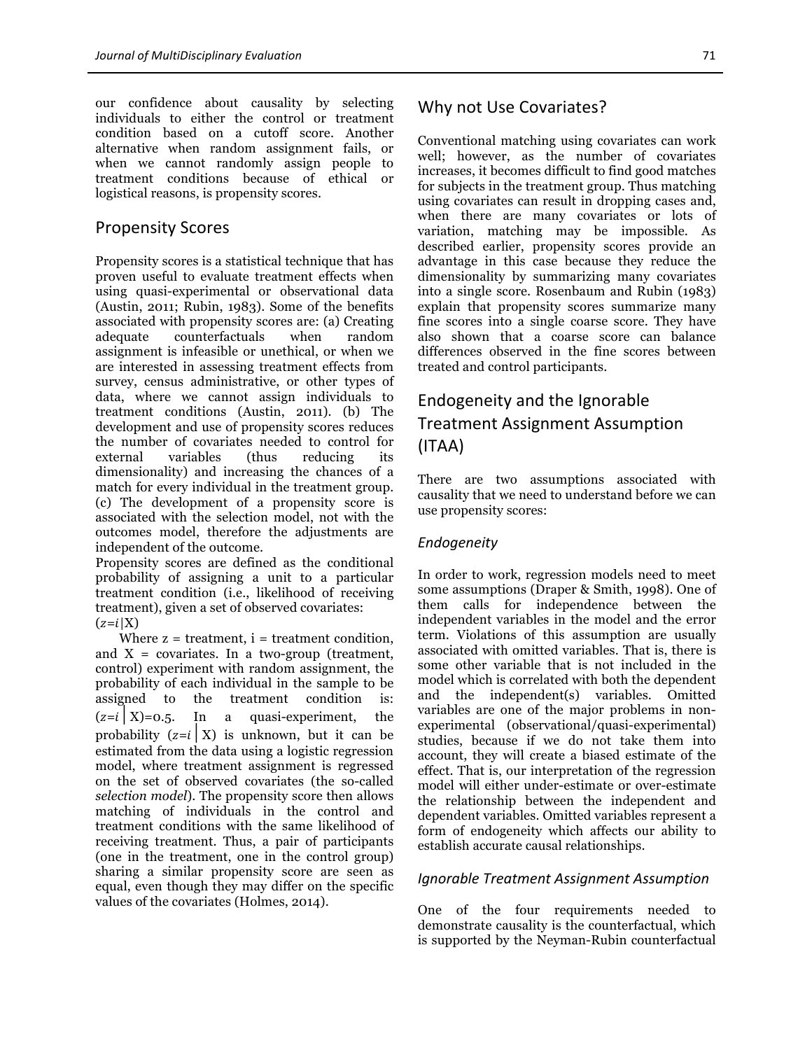our confidence about causality by selecting individuals to either the control or treatment condition based on a cutoff score. Another alternative when random assignment fails, or when we cannot randomly assign people to treatment conditions because of ethical or logistical reasons, is propensity scores.

## Propensity Scores

Propensity scores is a statistical technique that has proven useful to evaluate treatment effects when using quasi-experimental or observational data (Austin, 2011; Rubin, 1983). Some of the benefits associated with propensity scores are: (a) Creating adequate counterfactuals when random assignment is infeasible or unethical, or when we are interested in assessing treatment effects from survey, census administrative, or other types of data, where we cannot assign individuals to treatment conditions (Austin, 2011). (b) The development and use of propensity scores reduces the number of covariates needed to control for external variables (thus reducing its dimensionality) and increasing the chances of a match for every individual in the treatment group. (c) The development of a propensity score is associated with the selection model, not with the outcomes model, therefore the adjustments are independent of the outcome.

Propensity scores are defined as the conditional probability of assigning a unit to a particular treatment condition (i.e., likelihood of receiving treatment), given a set of observed covariates:  $(z=i|X)$ 

Where  $z =$  treatment,  $i =$  treatment condition, and  $X = covariates$ . In a two-group (treatment, control) experiment with random assignment, the probability of each individual in the sample to be assigned to the treatment condition is:  $(z=i|X)=0.5$ . In a quasi-experiment, the probability  $(z=i|X)$  is unknown, but it can be estimated from the data using a logistic regression model, where treatment assignment is regressed on the set of observed covariates (the so-called *selection model*). The propensity score then allows matching of individuals in the control and treatment conditions with the same likelihood of receiving treatment. Thus, a pair of participants (one in the treatment, one in the control group) sharing a similar propensity score are seen as equal, even though they may differ on the specific values of the covariates (Holmes, 2014).

Conventional matching using covariates can work well; however, as the number of covariates increases, it becomes difficult to find good matches for subjects in the treatment group. Thus matching using covariates can result in dropping cases and, when there are many covariates or lots of variation, matching may be impossible. As described earlier, propensity scores provide an advantage in this case because they reduce the dimensionality by summarizing many covariates into a single score. Rosenbaum and Rubin (1983) explain that propensity scores summarize many fine scores into a single coarse score. They have also shown that a coarse score can balance differences observed in the fine scores between treated and control participants.

# Endogeneity and the Ignorable Treatment Assignment Assumption (ITAA)

There are two assumptions associated with causality that we need to understand before we can use propensity scores:

#### *Endogeneity*

In order to work, regression models need to meet some assumptions (Draper & Smith, 1998). One of them calls for independence between the independent variables in the model and the error term. Violations of this assumption are usually associated with omitted variables. That is, there is some other variable that is not included in the model which is correlated with both the dependent and the independent(s) variables. Omitted variables are one of the major problems in nonexperimental (observational/quasi-experimental) studies, because if we do not take them into account, they will create a biased estimate of the effect. That is, our interpretation of the regression model will either under-estimate or over-estimate the relationship between the independent and dependent variables. Omitted variables represent a form of endogeneity which affects our ability to establish accurate causal relationships.

#### *Ignorable Treatment Assignment Assumption*

One of the four requirements needed to demonstrate causality is the counterfactual, which is supported by the Neyman-Rubin counterfactual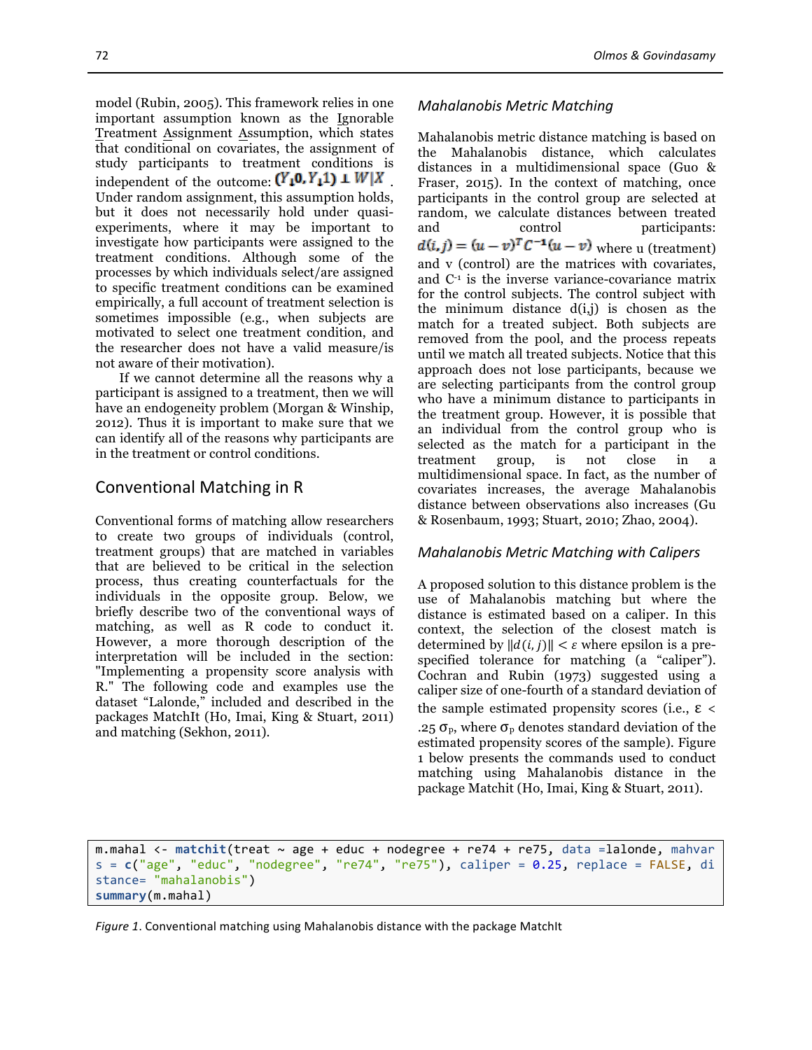model (Rubin, 2005). This framework relies in one important assumption known as the Ignorable Treatment Assignment Assumption, which states that conditional on covariates, the assignment of study participants to treatment conditions is independent of the outcome:  $(Y_1 0, Y_1 1) \perp W \parallel X$ Under random assignment, this assumption holds, but it does not necessarily hold under quasiexperiments, where it may be important to investigate how participants were assigned to the treatment conditions. Although some of the processes by which individuals select/are assigned to specific treatment conditions can be examined empirically, a full account of treatment selection is sometimes impossible (e.g., when subjects are motivated to select one treatment condition, and the researcher does not have a valid measure/is not aware of their motivation).

If we cannot determine all the reasons why a participant is assigned to a treatment, then we will have an endogeneity problem (Morgan & Winship, 2012). Thus it is important to make sure that we can identify all of the reasons why participants are in the treatment or control conditions.

## Conventional Matching in R

Conventional forms of matching allow researchers to create two groups of individuals (control, treatment groups) that are matched in variables that are believed to be critical in the selection process, thus creating counterfactuals for the individuals in the opposite group. Below, we briefly describe two of the conventional ways of matching, as well as R code to conduct it. However, a more thorough description of the interpretation will be included in the section: "Implementing a propensity score analysis with R." The following code and examples use the dataset "Lalonde," included and described in the packages MatchIt (Ho, Imai, King & Stuart, 2011) and matching (Sekhon, 2011).

#### *Mahalanobis Metric Matching*

Mahalanobis metric distance matching is based on the Mahalanobis distance, which calculates distances in a multidimensional space (Guo & Fraser, 2015). In the context of matching, once participants in the control group are selected at random, we calculate distances between treated and control participants:  $d(i, j) = (u - v)^T C^{-1} (u - v)$  where u (treatment) and v (control) are the matrices with covariates, and C-1 is the inverse variance-covariance matrix for the control subjects. The control subject with the minimum distance  $d(i,j)$  is chosen as the match for a treated subject. Both subjects are removed from the pool, and the process repeats until we match all treated subjects. Notice that this approach does not lose participants, because we are selecting participants from the control group who have a minimum distance to participants in the treatment group. However, it is possible that an individual from the control group who is selected as the match for a participant in the treatment group, is not close in a multidimensional space. In fact, as the number of covariates increases, the average Mahalanobis distance between observations also increases (Gu & Rosenbaum, 1993; Stuart, 2010; Zhao, 2004).

#### *Mahalanobis Metric Matching with Calipers*

A proposed solution to this distance problem is the use of Mahalanobis matching but where the distance is estimated based on a caliper. In this context, the selection of the closest match is determined by  $||d(i, j)|| < \varepsilon$  where epsilon is a prespecified tolerance for matching (a "caliper"). Cochran and Rubin (1973) suggested using a caliper size of one-fourth of a standard deviation of the sample estimated propensity scores (i.e.,  $ε <$ .25  $\sigma_{\rm p}$ , where  $\sigma_{\rm p}$  denotes standard deviation of the estimated propensity scores of the sample). Figure 1 below presents the commands used to conduct matching using Mahalanobis distance in the package Matchit (Ho, Imai, King & Stuart, 2011).

m.mahal <- matchit(treat ~ age + educ + nodegree + re74 + re75, data =lalonde, mahvar s = **c**("age", "educ", "nodegree", "re74", "re75"), caliper = 0.25, replace = FALSE, di stance= "mahalanobis") **summary**(m.mahal)

*Figure 1*. Conventional matching using Mahalanobis distance with the package MatchIt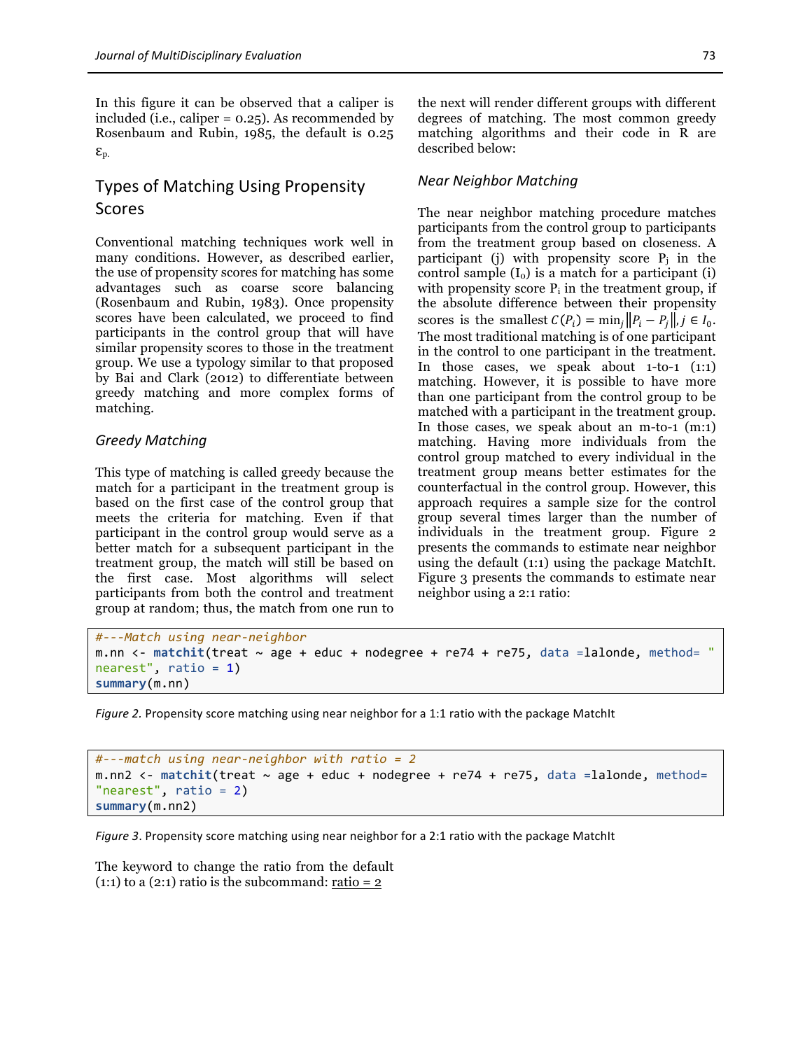In this figure it can be observed that a caliper is included (i.e., caliper = 0.25). As recommended by Rosenbaum and Rubin, 1985, the default is 0.25  $\mathcal{E}_{\text{p}}$ .

## Types of Matching Using Propensity Scores

Conventional matching techniques work well in many conditions. However, as described earlier, the use of propensity scores for matching has some advantages such as coarse score balancing (Rosenbaum and Rubin, 1983). Once propensity scores have been calculated, we proceed to find participants in the control group that will have similar propensity scores to those in the treatment group. We use a typology similar to that proposed by Bai and Clark (2012) to differentiate between greedy matching and more complex forms of matching.

### *Greedy Matching*

This type of matching is called greedy because the match for a participant in the treatment group is based on the first case of the control group that meets the criteria for matching. Even if that participant in the control group would serve as a better match for a subsequent participant in the treatment group, the match will still be based on the first case. Most algorithms will select participants from both the control and treatment group at random; thus, the match from one run to

the next will render different groups with different degrees of matching. The most common greedy matching algorithms and their code in R are described below:

#### *Near Neighbor Matching*

The near neighbor matching procedure matches participants from the control group to participants from the treatment group based on closeness. A participant (j) with propensity score  $P_i$  in the control sample  $(I_0)$  is a match for a participant (i) with propensity score  $P_i$  in the treatment group, if the absolute difference between their propensity scores is the smallest  $C(P_i) = \min_i ||P_i - P_i||, j \in I_0$ . The most traditional matching is of one participant in the control to one participant in the treatment. In those cases, we speak about 1-to-1 (1:1) matching. However, it is possible to have more than one participant from the control group to be matched with a participant in the treatment group. In those cases, we speak about an m-to-1 (m:1) matching. Having more individuals from the control group matched to every individual in the treatment group means better estimates for the counterfactual in the control group. However, this approach requires a sample size for the control group several times larger than the number of individuals in the treatment group. Figure 2 presents the commands to estimate near neighbor using the default (1:1) using the package MatchIt. Figure 3 presents the commands to estimate near neighbor using a 2:1 ratio:

```
#---Match	using	near-neighbor
m.nn \le - matchit(treat \sim age + educ + nodegree + re74 + re75, data =lalonde, method= "
nearest", ratio = 1)
summary(m.nn)
```
*Figure 2.* Propensity score matching using near neighbor for a 1:1 ratio with the package MatchIt

```
#---match	using	near-neighbor	with	ratio	=	2
m.nn2 <- matchit(treat ~ age + educ + nodegree + re74 + re75, data =lalonde, method=
"nearest", ratio = 2)
summary(m.nn2)
```
*Figure* 3. Propensity score matching using near neighbor for a 2:1 ratio with the package MatchIt

The keyword to change the ratio from the default (1:1) to a  $(2:1)$  ratio is the subcommand: ratio = 2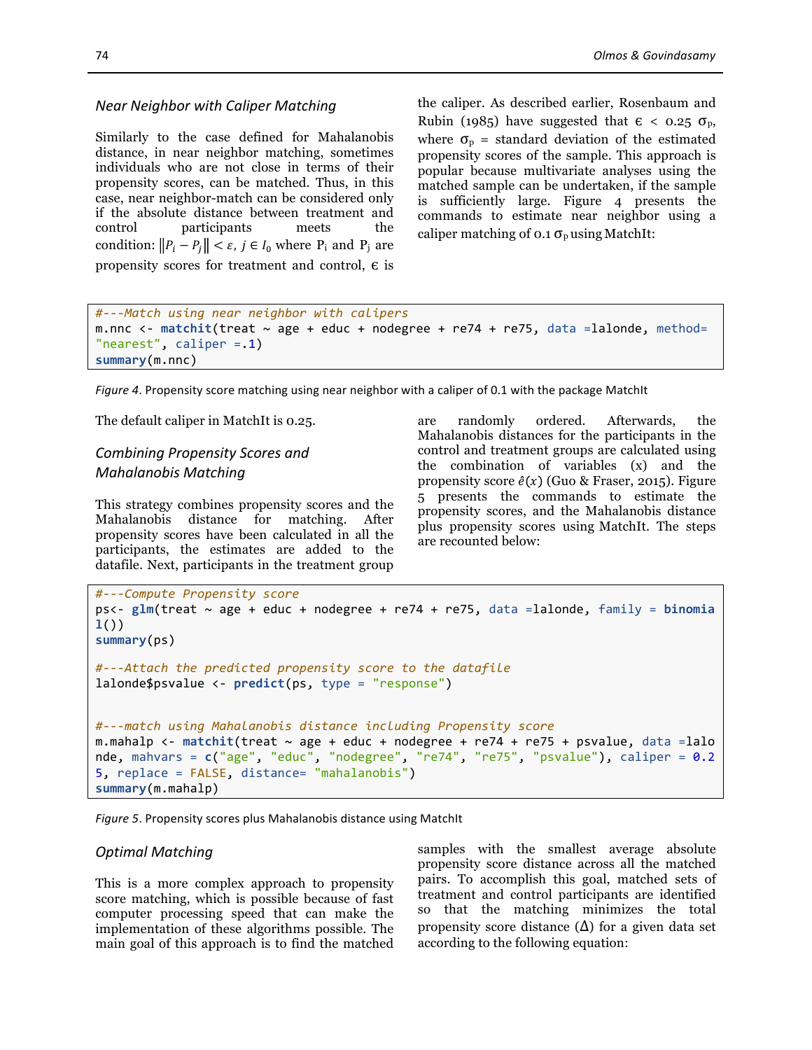#### *Near Neighbor with Caliper Matching*

Similarly to the case defined for Mahalanobis distance, in near neighbor matching, sometimes individuals who are not close in terms of their propensity scores, can be matched. Thus, in this case, near neighbor-match can be considered only if the absolute distance between treatment and control participants meets the condition:  $||P_i - P_j|| < \varepsilon$ ,  $j \in I_0$  where  $P_i$  and  $P_j$  are propensity scores for treatment and control,  $\epsilon$  is

the caliper. As described earlier, Rosenbaum and Rubin (1985) have suggested that  $\epsilon < 0.25 \sigma_{p}$ , where  $\sigma_{\rm p}$  = standard deviation of the estimated propensity scores of the sample. This approach is popular because multivariate analyses using the matched sample can be undertaken, if the sample is sufficiently large. Figure 4 presents the commands to estimate near neighbor using a caliper matching of  $0.1 \sigma_p$  using MatchIt:

```
#---Match	using	near	neighbor	with	calipers
m.nnc <- matchit(treat \sim age + educ + nodegree + re74 + re75, data =lalonde, method=
"nearest", caliper = .1)
summary(m.nnc)
```
*Figure 4.* Propensity score matching using near neighbor with a caliper of 0.1 with the package MatchIt

The default caliper in MatchIt is 0.25.

## *Combining Propensity Scores and Mahalanobis Matching*

This strategy combines propensity scores and the Mahalanobis distance for matching. After propensity scores have been calculated in all the participants, the estimates are added to the datafile. Next, participants in the treatment group are randomly ordered. Afterwards, the Mahalanobis distances for the participants in the control and treatment groups are calculated using the combination of variables (x) and the propensity score  $\hat{e}(x)$  (Guo & Fraser, 2015). Figure 5 presents the commands to estimate the propensity scores, and the Mahalanobis distance plus propensity scores using MatchIt. The steps are recounted below:

```
#---Compute	Propensity	score
ps<- glm(treat	~ age	+ educ	+ nodegree	+ re74	+ re75,	data	=lalonde,	family	= binomia
l())
summary(ps)
#---Attach	the	predicted	propensity	score	to	the	datafile
lalonde$psvalue	<- predict(ps,	type	= "response")
#---match	using	Mahalanobis distance	including	Propensity	score
m.mahalp <- matchit(treat ~ age + educ + nodegree + re74 + re75 + psvalue, data =lalo
nde, mahvars = c("age", "educ", "nodegree", "re74", "re75", "psvalue"), caliper = 0.2
5, replace = FALSE, distance= "mahalanobis")
summary(m.mahalp)
```
*Figure* 5. Propensity scores plus Mahalanobis distance using MatchIt

#### *Optimal Matching*

This is a more complex approach to propensity score matching, which is possible because of fast computer processing speed that can make the implementation of these algorithms possible. The main goal of this approach is to find the matched samples with the smallest average absolute propensity score distance across all the matched pairs. To accomplish this goal, matched sets of treatment and control participants are identified so that the matching minimizes the total propensity score distance  $(\Delta)$  for a given data set according to the following equation: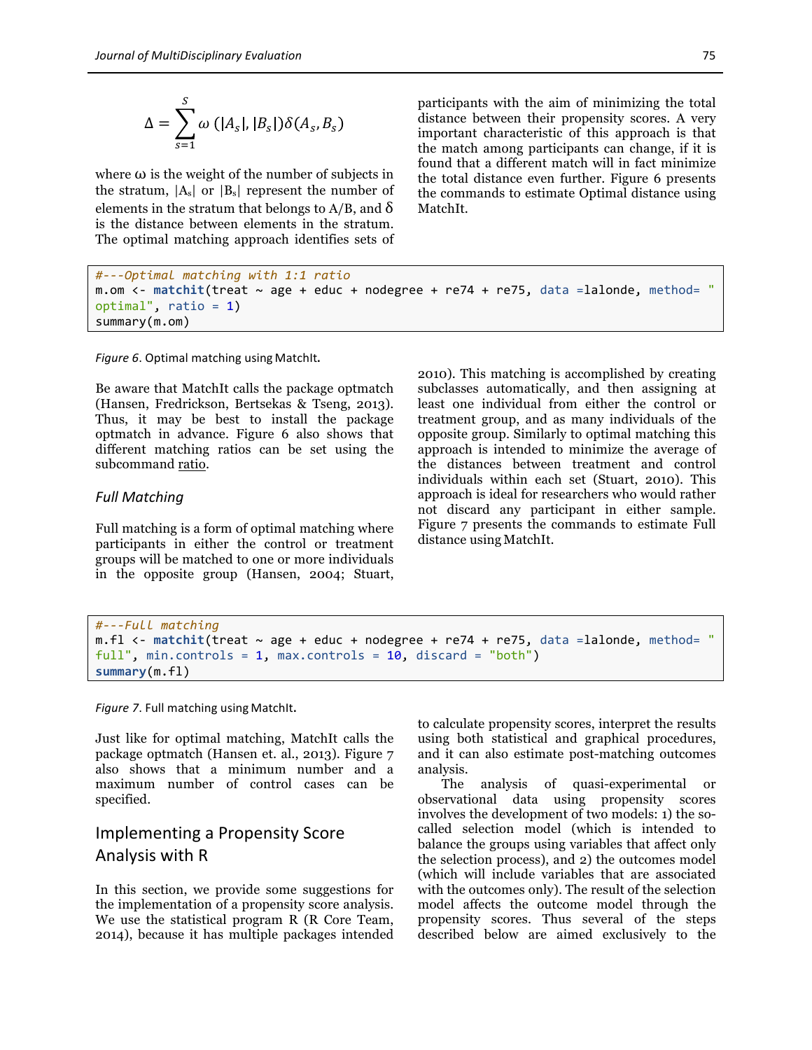$$
\Delta = \sum_{s=1}^{S} \omega\left(|A_s|, |B_s|\right) \delta(A_s, B_s)
$$

where  $\omega$  is the weight of the number of subjects in the stratum,  $|A_s|$  or  $|B_s|$  represent the number of elements in the stratum that belongs to  $A/B$ , and  $\delta$ is the distance between elements in the stratum. The optimal matching approach identifies sets of participants with the aim of minimizing the total distance between their propensity scores. A very important characteristic of this approach is that the match among participants can change, if it is found that a different match will in fact minimize the total distance even further. Figure 6 presents the commands to estimate Optimal distance using MatchIt.

```
#---Optimal	matching	with	1:1	ratio
m.om \lt- matchit(treat \sim age + educ + nodegree + re74 + re75, data =lalonde, method= "
optimal", ratio = 1)
summary(m.om)
```
Figure 6. Optimal matching using MatchIt.

Be aware that MatchIt calls the package optmatch (Hansen, Fredrickson, Bertsekas & Tseng, 2013). Thus, it may be best to install the package optmatch in advance. Figure 6 also shows that different matching ratios can be set using the subcommand ratio.

#### *Full Matching*

Full matching is a form of optimal matching where participants in either the control or treatment groups will be matched to one or more individuals in the opposite group (Hansen, 2004; Stuart,

2010). This matching is accomplished by creating subclasses automatically, and then assigning at least one individual from either the control or treatment group, and as many individuals of the opposite group. Similarly to optimal matching this approach is intended to minimize the average of the distances between treatment and control individuals within each set (Stuart, 2010). This approach is ideal for researchers who would rather not discard any participant in either sample. Figure 7 presents the commands to estimate Full distance using MatchIt.

```
#---Full	matching	
m.f1 <- matchit(treat \sim age + educ + nodegree + re74 + re75, data = lalone, method = "full", min.controls = 1, max.controls = 10, discard = "both")
summary(m.fl)
```
Figure 7. Full matching using MatchIt.

Just like for optimal matching, MatchIt calls the package optmatch (Hansen et. al., 2013). Figure 7 also shows that a minimum number and a maximum number of control cases can be specified.

# Implementing a Propensity Score Analysis with R

In this section, we provide some suggestions for the implementation of a propensity score analysis. We use the statistical program R (R Core Team, 2014), because it has multiple packages intended to calculate propensity scores, interpret the results using both statistical and graphical procedures, and it can also estimate post-matching outcomes analysis.

The analysis of quasi-experimental or observational data using propensity scores involves the development of two models: 1) the socalled selection model (which is intended to balance the groups using variables that affect only the selection process), and 2) the outcomes model (which will include variables that are associated with the outcomes only). The result of the selection model affects the outcome model through the propensity scores. Thus several of the steps described below are aimed exclusively to the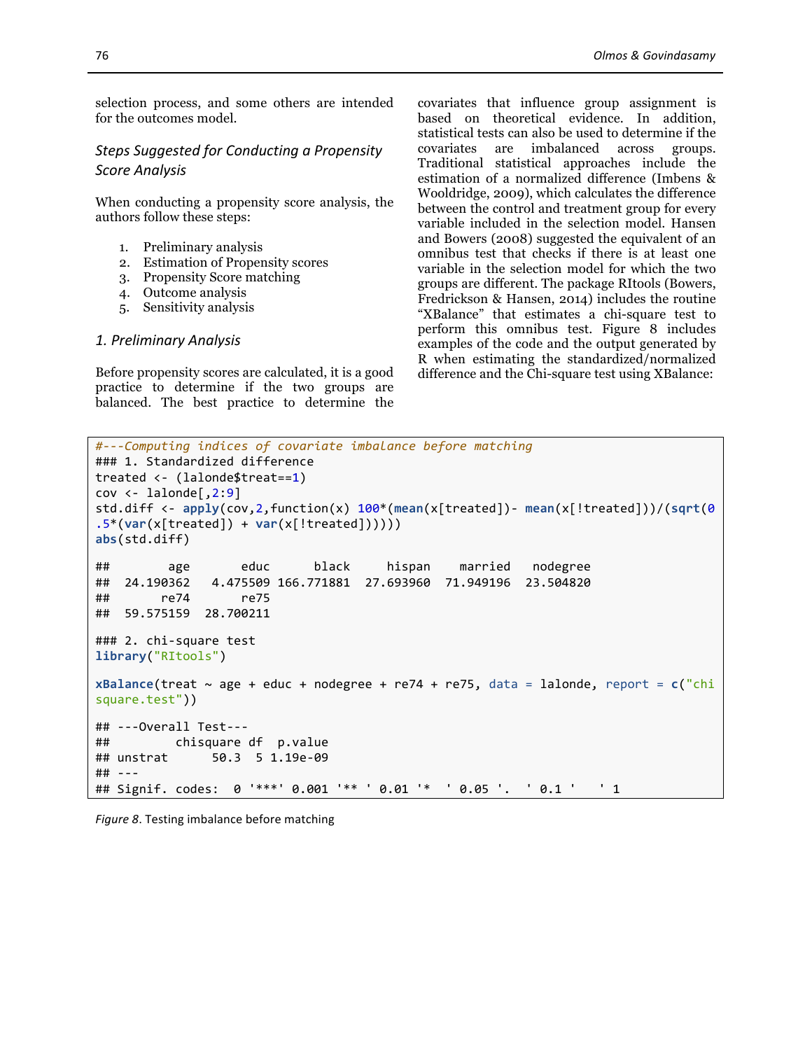selection process, and some others are intended for the outcomes model.

### **Steps Suggested for Conducting a Propensity** *Score Analysis*

When conducting a propensity score analysis, the authors follow these steps:

- 1. Preliminary analysis
- 2. Estimation of Propensity scores
- 3. Propensity Score matching
- 4. Outcome analysis
- 5. Sensitivity analysis

#### *1. Preliminary Analysis*

Before propensity scores are calculated, it is a good practice to determine if the two groups are balanced. The best practice to determine the covariates that influence group assignment is based on theoretical evidence. In addition, statistical tests can also be used to determine if the covariates are imbalanced across groups. Traditional statistical approaches include the estimation of a normalized difference (Imbens & Wooldridge, 2009), which calculates the difference between the control and treatment group for every variable included in the selection model. Hansen and Bowers (2008) suggested the equivalent of an omnibus test that checks if there is at least one variable in the selection model for which the two groups are different. The package RItools (Bowers, Fredrickson & Hansen, 2014) includes the routine "XBalance" that estimates a chi-square test to perform this omnibus test. Figure 8 includes examples of the code and the output generated by R when estimating the standardized/normalized difference and the Chi-square test using XBalance:

```
#---Computing	indices	of	covariate	imbalance	before	matching
### 1. Standardized difference
treated	<- (lalonde$treat==1)
cov \leftarrow lalonde[, 2:9]
std.diff	<- apply(cov,2,function(x)	100*(mean(x[treated])- mean(x[!treated]))/(sqrt(0
.5*(var(x[treated]) + var(x[!treated]))))abs(std.diff)
##								age							educ						black					hispan				married			nodegree	
##		24.190362			4.475509	166.771881		27.693960		71.949196		23.504820	
##							re74							re75	
##		59.575159		28.700211
### 2. chi-square test
library("RItools")
xBalance(treat \sim age + educ + nodegree + re74 + re75, data = lalonde, report = c("chi)square.test"))
##	---Overall	Test---
## chisquare df p.value<br>## unstrat 50.3 5 1.19e-09
                50.3 5 1.19e-09
##	---
## Signif. codes: 0 '***' 0.001 '** ' 0.01 '* ' 0.05 '. ' 0.1 ' ' 1
```

```
Figure 8. Testing imbalance before matching
```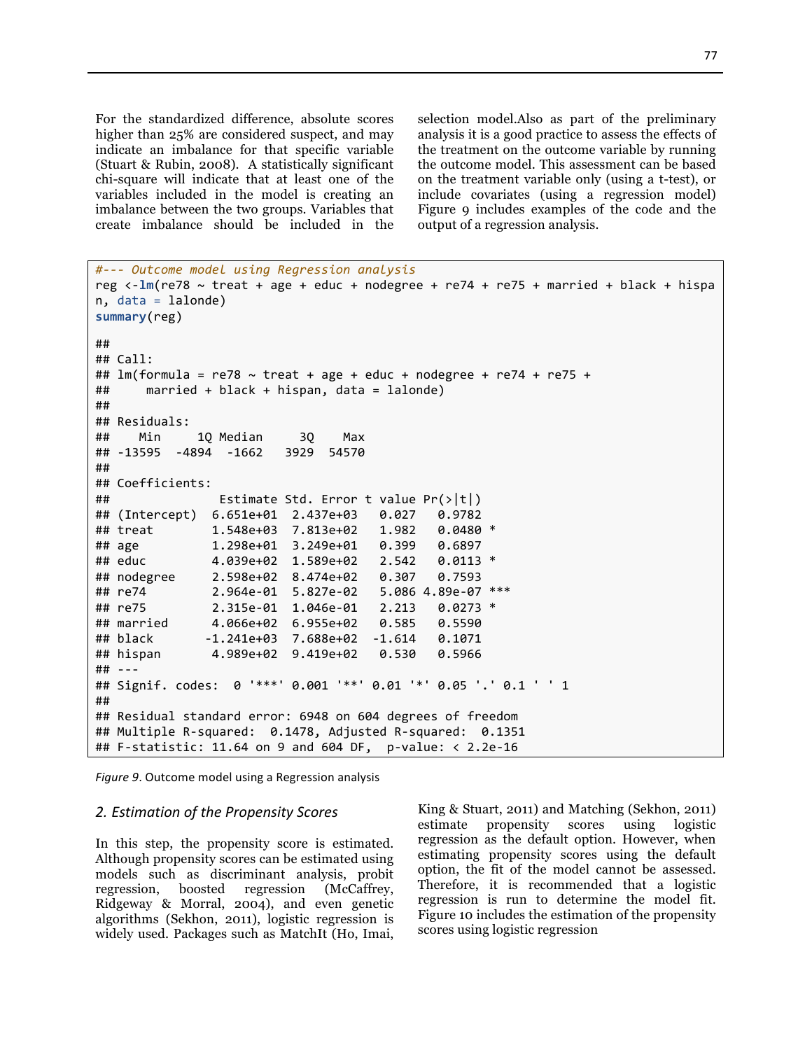For the standardized difference, absolute scores higher than 25% are considered suspect, and may indicate an imbalance for that specific variable (Stuart & Rubin, 2008). A statistically significant chi-square will indicate that at least one of the variables included in the model is creating an imbalance between the two groups. Variables that create imbalance should be included in the

selection model.Also as part of the preliminary analysis it is a good practice to assess the effects of the treatment on the outcome variable by running the outcome model. This assessment can be based on the treatment variable only (using a t-test), or include covariates (using a regression model) Figure 9 includes examples of the code and the output of a regression analysis.

```
#--- Outcome	model	using	Regression	analysis	
reg <-lm(re78 ~ treat + age + educ + nodegree + re74 + re75 + married + black + hispa
n, data = lalonde)
summary(reg)
##	
## Call:
## lm(formula = re78 ~ \sim treat + age + educ + node = re74 + re75 +##					married	+	black	+	hispan,	data	=	lalonde)
##	
##	Residuals:
## Min 1Q Median 3Q Max
##	-13595		-4894		-1662			3929		54570	
##	
##	Coefficients:
\# Estimate Std. Error t value Pr(>|t|)
## (Intercept) 6.651e+01 2.437e+03 0.027 0.9782<br>## treat 1.548e+03 7.813e+02 1.982 0.0480 *
## treat 1.548e+03 7.813e+02 1.982
##	age										1.298e+01		3.249e+01			0.399			0.6897				
## educ 4.039e+02 1.589e+02 2.542 0.0113 *
## nodegree 2.598e+02 8.474e+02 0.307 0.7593
## re74 2.964e-01 5.827e-02 5.086 4.89e-07 ***
##	re75									2.315e-01		1.046e-01			2.213			0.0273	*		
##	married						4.066e+02		6.955e+02			0.585			0.5590				
##	black							-1.241e+03		7.688e+02		-1.614			0.1071				
##	hispan							4.989e+02		9.419e+02			0.530			0.5966				
##	---
## Signif. codes: 0 '***' 0.001 '**' 0.01 '*' 0.05 '.' 0.1 ' ' 1
##	
##	Residual	standard	error:	6948	on 604	degrees	of	freedom
## Multiple R-squared: 0.1478, Adjusted R-squared: 0.1351
## F-statistic: 11.64 on 9 and 604 DF, p-value: \langle 2.2e-16
```
*Figure* 9. Outcome model using a Regression analysis

#### *2. Estimation of the Propensity Scores*

In this step, the propensity score is estimated. Although propensity scores can be estimated using models such as discriminant analysis, probit regression, boosted regression (McCaffrey, Ridgeway & Morral, 2004), and even genetic algorithms (Sekhon, 2011), logistic regression is widely used. Packages such as MatchIt (Ho, Imai,

King & Stuart, 2011) and Matching (Sekhon, 2011) estimate propensity scores using logistic regression as the default option. However, when estimating propensity scores using the default option, the fit of the model cannot be assessed. Therefore, it is recommended that a logistic regression is run to determine the model fit. Figure 10 includes the estimation of the propensity scores using logistic regression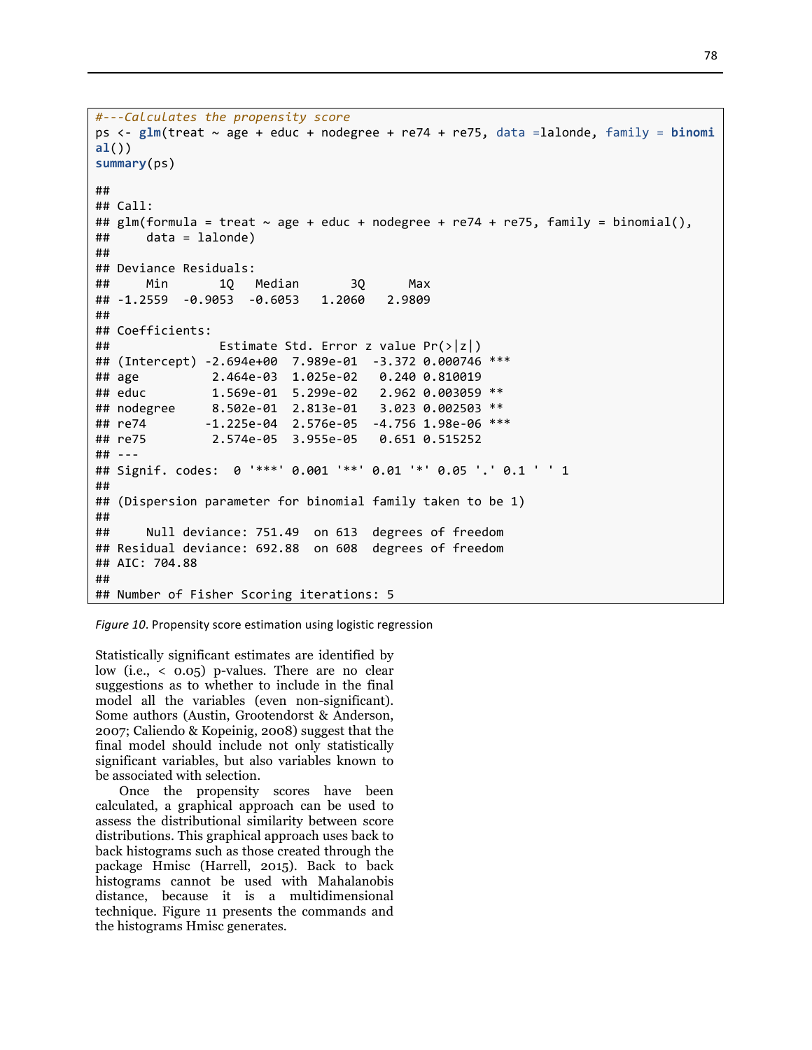```
#---Calculates	the	propensity	score
ps	<- glm(treat	~ age	+ educ	+ nodegree	+ re74	+ re75,	data	=lalonde,	family	= binomi
al())
summary(ps)
##	
##	Call:
## glm(formula = treat ~ age + educ + nodegree + re74 + re75, family = binomial(),\# \# data = lalonde)
##	
## Deviance Residuals:
## Min 1Q Median 3Q Max
##	-1.2559		-0.9053		-0.6053			1.2060			2.9809		
##	
##	Coefficients:
\# Estimate Std. Error z value Pr(>|z|)
## (Intercept) -2.694e+00 7.989e-01 -3.372 0.000746 ***
##	age										2.464e-03		1.025e-02			0.240	0.810019				
## educ 1.569e-01 5.299e-02 2.962 0.003059 **
## nodegree 8.502e-01 2.813e-01 3.023 0.002503 **
## re74 -1.225e-04 2.576e-05 -4.756 1.98e-06 ***
##	re75									2.574e-05		3.955e-05			0.651	0.515252				
##	---
## Signif. codes: 0 '***' 0.001 '**' 0.01 '*' 0.05 '.' 0.1 ' ' 1
##	
## (Dispersion parameter for binomial family taken to be 1)
##	
## Null deviance: 751.49 on 613 degrees of freedom
##	Residual	deviance: 692.88		on	608		degrees	of	freedom
##	AIC:	704.88
##	
## Number of Fisher Scoring iterations: 5
```
*Figure 10*. Propensity score estimation using logistic regression

Statistically significant estimates are identified by low (i.e., < 0.05) p-values. There are no clear suggestions as to whether to include in the final model all the variables (even non-significant). Some authors (Austin, Grootendorst & Anderson, 2007; Caliendo & Kopeinig, 2008) suggest that the final model should include not only statistically significant variables, but also variables known to be associated with selection.

Once the propensity scores have been calculated, a graphical approach can be used to assess the distributional similarity between score distributions. This graphical approach uses back to back histograms such as those created through the package Hmisc (Harrell, 2015). Back to back histograms cannot be used with Mahalanobis distance, because it is a multidimensional technique. Figure 11 presents the commands and the histograms Hmisc generates.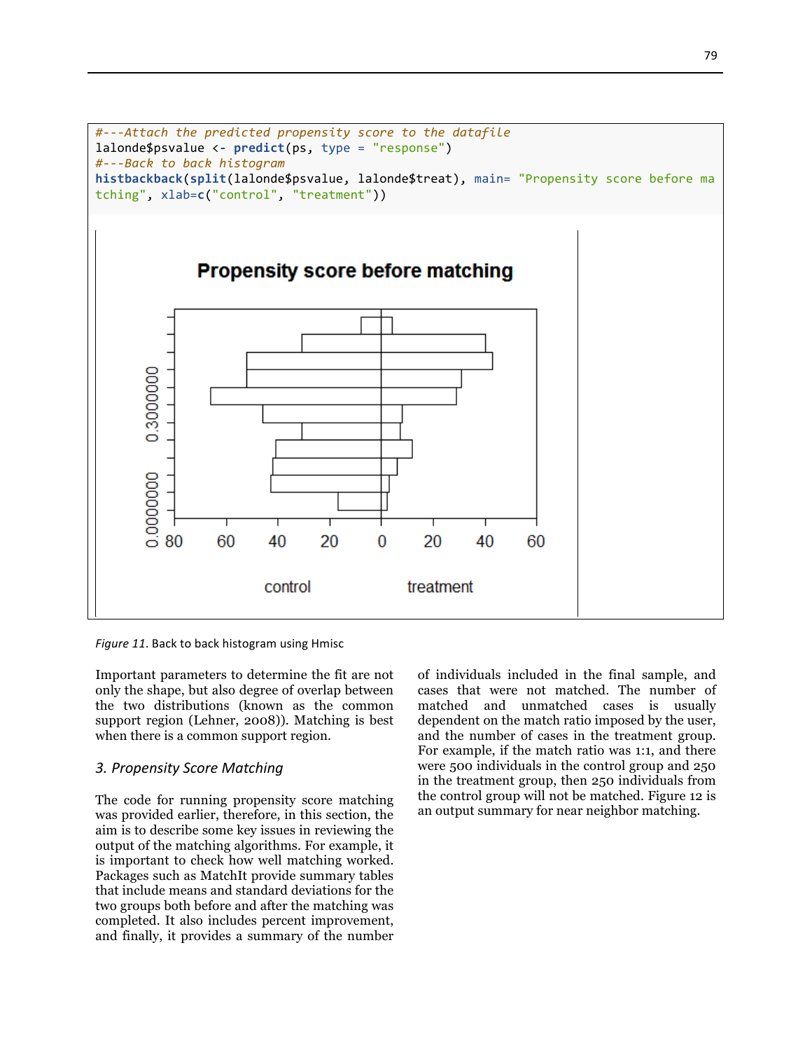

Figure 11. Back to back histogram using Hmisc

Important parameters to determine the fit are not only the shape, but also degree of overlap between the two distributions (known as the common support region (Lehner, 2008)). Matching is best when there is a common support region.

#### *3. Propensity Score Matching*

The code for running propensity score matching was provided earlier, therefore, in this section, the aim is to describe some key issues in reviewing the output of the matching algorithms. For example, it is important to check how well matching worked. Packages such as MatchIt provide summary tables that include means and standard deviations for the two groups both before and after the matching was completed. It also includes percent improvement, and finally, it provides a summary of the number of individuals included in the final sample, and cases that were not matched. The number of matched and unmatched cases is usually dependent on the match ratio imposed by the user, and the number of cases in the treatment group. For example, if the match ratio was 1:1, and there were 500 individuals in the control group and 250 in the treatment group, then 250 individuals from the control group will not be matched. Figure 12 is an output summary for near neighbor matching.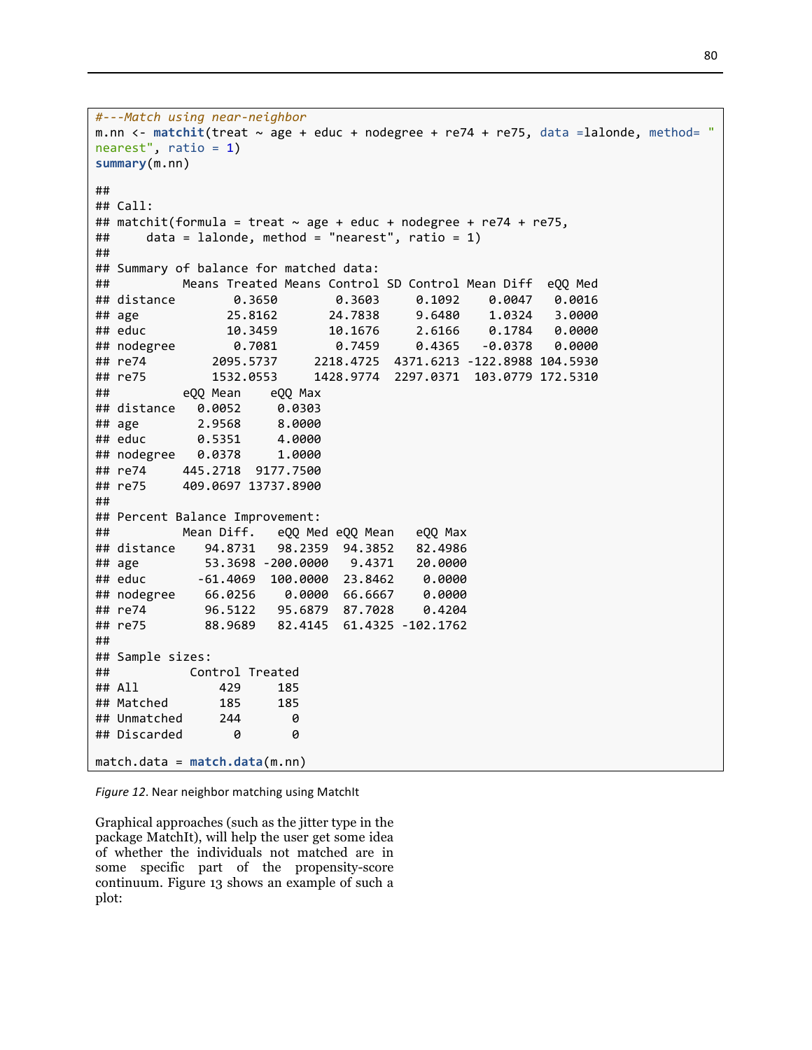```
#---Match	using	near-neighbor
m.nn <- matchit(treat ~ age + educ + nodegree + re74 + re75, data =lalonde, method= "
nearest", ratio = 1)
summary(m.nn)
##	
##	Call:
## matchit(formula = treat \sim age + educ + nodegree + re74 + re75,
##					data	=	lalonde,	method	=	"nearest",	ratio	=	1)
##	
## Summary of balance for matched data:
##										Means	Treated	Means	Control	SD	Control	Mean	Diff		eQQ	Med
##	distance								0.3650								0.3603					0.1092				0.0047			0.0016
## age      25.8162    24.7838   9.6480  1.0324  3.0000
##	educ											10.3459							10.1676					2.6166				0.1784			0.0000
##	nodegree								0.7081								0.7459					0.4365			-0.0378			0.0000
##	re74									2095.5737					2218.4725		4371.6213	-122.8988	104.5930
##	re75									1532.0553					1428.9774		2297.0371		103.0779	172.5310
## eQQ Mean eQQ Max
##	distance			0.0052					0.0303
##	age								2.9568					8.0000
##	educ							0.5351					4.0000
##	nodegree			0.0378					1.0000
##	re74					445.2718		9177.7500
##	re75					409.0697	13737.8900
##	
## Percent Balance Improvement:
##										Mean	Diff.			eQQ	Med	eQQ	Mean			eQQ	Max
##	distance				94.8731			98.2359		94.3852			82.4986
##	age									53.3698	-200.0000			9.4371			20.0000
##	educ							-61.4069		100.0000		23.8462				0.0000
##	nodegree				66.0256				0.0000		66.6667				0.0000
##	re74								96.5122			95.6879		87.7028				0.4204
##	re75								88.9689			82.4145		61.4325	-102.1762
##	
##	Sample	sizes:
##											Control	Treated
##	All											429					185
## Matched 185 185
## Unmatched 244 0
## Discarded 0 0
match.data	= match.data(m.nn)
```
Figure 12. Near neighbor matching using MatchIt

Graphical approaches (such as the jitter type in the package MatchIt), will help the user get some idea of whether the individuals not matched are in some specific part of the propensity-score continuum. Figure 13 shows an example of such a plot: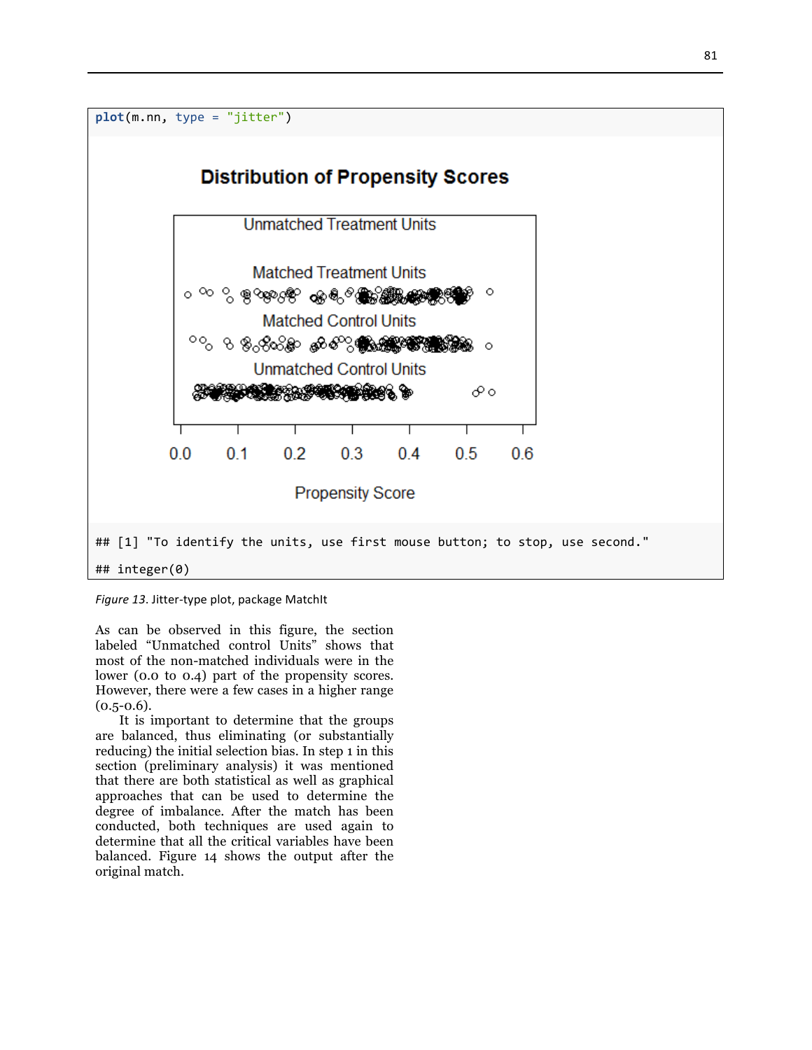

Figure 13. Jitter-type plot, package MatchIt

As can be observed in this figure, the section labeled "Unmatched control Units" shows that most of the non-matched individuals were in the lower (0.0 to 0.4) part of the propensity scores. However, there were a few cases in a higher range  $(0.5 - 0.6)$ .

It is important to determine that the groups are balanced, thus eliminating (or substantially reducing) the initial selection bias. In step 1 in this section (preliminary analysis) it was mentioned that there are both statistical as well as graphical approaches that can be used to determine the degree of imbalance. After the match has been conducted, both techniques are used again to determine that all the critical variables have been balanced. Figure 14 shows the output after the original match.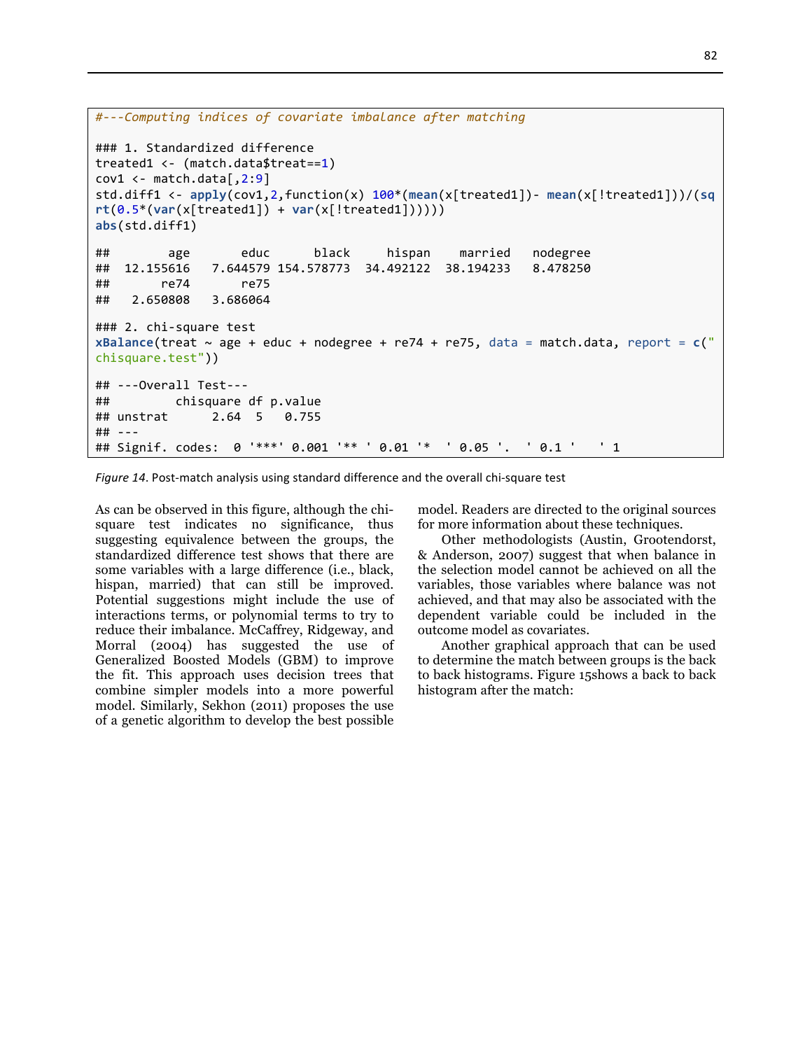```
#---Computing	indices	of	covariate	imbalance	after	matching
### 1. Standardized difference
treated1	<- (match.data$treat==1)
cov1 \leftarrow \text{match.data}[, 2:9]
std.diff1	<- apply(cov1,2,function(x)	100*(mean(x[treated1])- mean(x[!treated1]))/(sq
rt(0.5*(var(x[treated1])	+ var(x[!treated1])))))
abs(std.diff1)
##								age							educ						black					hispan				married			nodegree	
##		12.155616			7.644579	154.578773		34.492122		38.194233			8.478250	
##							re74							re75	
##			2.650808			3.686064
### 2. chi-square test
xBalance(treat \sim age + educ + nodegree + re74 + re75, data = match.data, report = c("
chisquare.test"))
##	---Overall	Test---
## chisquare df p.value
##	unstrat						2.64		5			0.755
##	---
## Signif. codes: 0 '***' 0.001 '** ' 0.01 '* ' 0.05 '. ' 0.1 ' ' 1
```
Figure 14. Post-match analysis using standard difference and the overall chi-square test

As can be observed in this figure, although the chisquare test indicates no significance, thus suggesting equivalence between the groups, the standardized difference test shows that there are some variables with a large difference (i.e., black, hispan, married) that can still be improved. Potential suggestions might include the use of interactions terms, or polynomial terms to try to reduce their imbalance. McCaffrey, Ridgeway, and Morral (2004) has suggested the use of Generalized Boosted Models (GBM) to improve the fit. This approach uses decision trees that combine simpler models into a more powerful model. Similarly, Sekhon (2011) proposes the use of a genetic algorithm to develop the best possible

model. Readers are directed to the original sources for more information about these techniques.

Other methodologists (Austin, Grootendorst, & Anderson, 2007) suggest that when balance in the selection model cannot be achieved on all the variables, those variables where balance was not achieved, and that may also be associated with the dependent variable could be included in the outcome model as covariates.

Another graphical approach that can be used to determine the match between groups is the back to back histograms. Figure 15shows a back to back histogram after the match: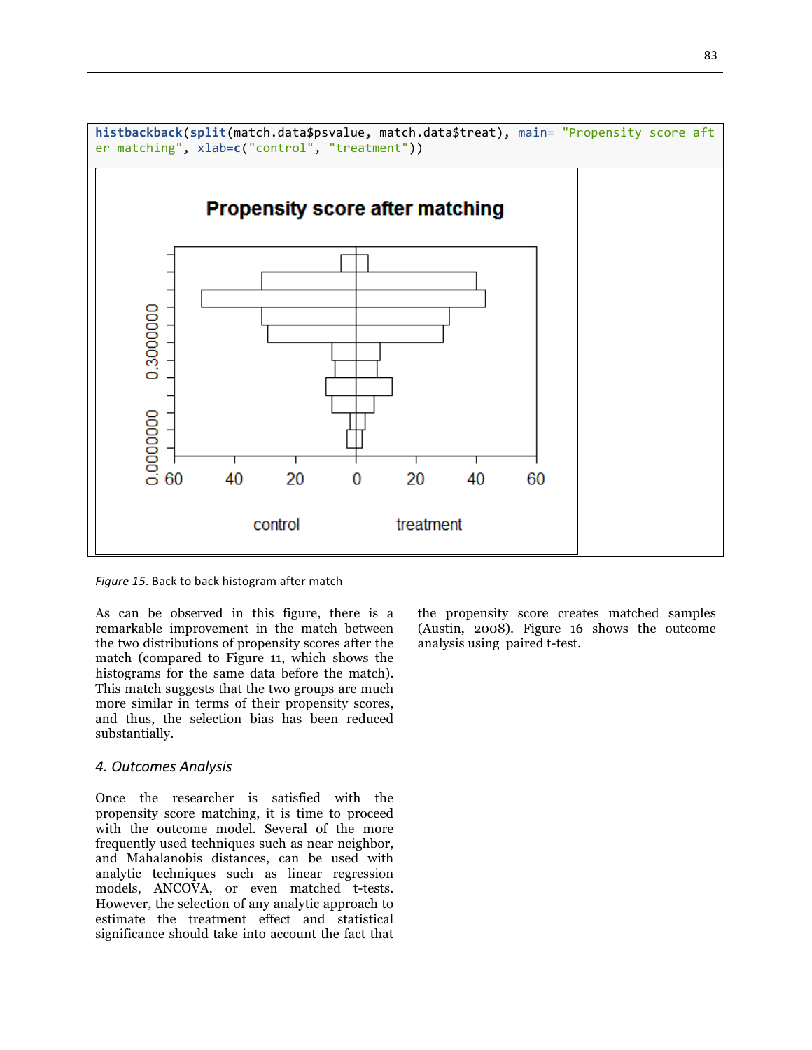

Figure 15. Back to back histogram after match

As can be observed in this figure, there is a remarkable improvement in the match between the two distributions of propensity scores after the match (compared to Figure 11, which shows the histograms for the same data before the match). This match suggests that the two groups are much more similar in terms of their propensity scores, and thus, the selection bias has been reduced substantially.

#### *4. Outcomes Analysis*

Once the researcher is satisfied with the propensity score matching, it is time to proceed with the outcome model. Several of the more frequently used techniques such as near neighbor, and Mahalanobis distances, can be used with analytic techniques such as linear regression models, ANCOVA, or even matched t-tests. However, the selection of any analytic approach to estimate the treatment effect and statistical significance should take into account the fact that the propensity score creates matched samples (Austin, 2008). Figure 16 shows the outcome analysis using paired t-test.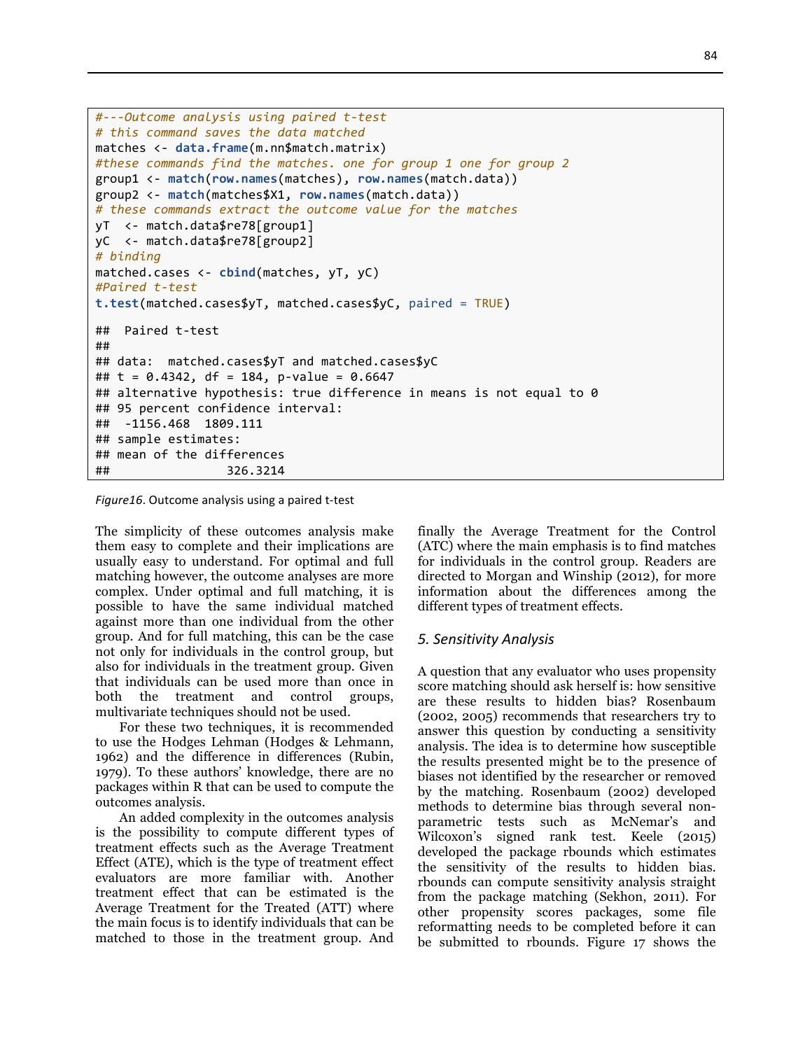```
#---Outcome	analysis	using	paired	t-test
#	this	command	saves	the	data	matched
matches	<- data.frame(m.nn$match.matrix)
#these	commands	find	the	matches.	one	for	group	1	one	for	group	2
group1	<- match(row.names(matches),	row.names(match.data))
group2	<- match(matches$X1,	row.names(match.data))
#	these	commands	extract	the	outcome	value	for	the	matches
yT		<- match.data$re78[group1]
yC		<- match.data$re78[group2]
# binding
matched.cases <- cbind(matches, yT, yC)
#Paired	t-test
t.test(matched.cases$yT,	matched.cases$yC,	paired	= TRUE)
##		Paired	t-test
##	
##	data:		matched.cases$yT	and	matched.cases$yC
## t = 0.4342, df = 184, p-value = 0.6647
## alternative hypothesis: true difference in means is not equal to 0
## 95 percent confidence interval:
##		-1156.468		1809.111
## sample estimates:
## mean of the differences
##																326.3214
```

```
Figure16. Outcome analysis using a paired t-test
```
The simplicity of these outcomes analysis make them easy to complete and their implications are usually easy to understand. For optimal and full matching however, the outcome analyses are more complex. Under optimal and full matching, it is possible to have the same individual matched against more than one individual from the other group. And for full matching, this can be the case not only for individuals in the control group, but also for individuals in the treatment group. Given that individuals can be used more than once in both the treatment and control groups, multivariate techniques should not be used.

For these two techniques, it is recommended to use the Hodges Lehman (Hodges & Lehmann, 1962) and the difference in differences (Rubin, 1979). To these authors' knowledge, there are no packages within R that can be used to compute the outcomes analysis.

An added complexity in the outcomes analysis is the possibility to compute different types of treatment effects such as the Average Treatment Effect (ATE), which is the type of treatment effect evaluators are more familiar with. Another treatment effect that can be estimated is the Average Treatment for the Treated (ATT) where the main focus is to identify individuals that can be matched to those in the treatment group. And

finally the Average Treatment for the Control (ATC) where the main emphasis is to find matches for individuals in the control group. Readers are directed to Morgan and Winship (2012), for more information about the differences among the different types of treatment effects.

#### *5. Sensitivity Analysis*

A question that any evaluator who uses propensity score matching should ask herself is: how sensitive are these results to hidden bias? Rosenbaum (2002, 2005) recommends that researchers try to answer this question by conducting a sensitivity analysis. The idea is to determine how susceptible the results presented might be to the presence of biases not identified by the researcher or removed by the matching. Rosenbaum (2002) developed methods to determine bias through several nonparametric tests such as McNemar's and Wilcoxon's signed rank test. Keele (2015) developed the package rbounds which estimates the sensitivity of the results to hidden bias. rbounds can compute sensitivity analysis straight from the package matching (Sekhon, 2011). For other propensity scores packages, some file reformatting needs to be completed before it can be submitted to rbounds. Figure 17 shows the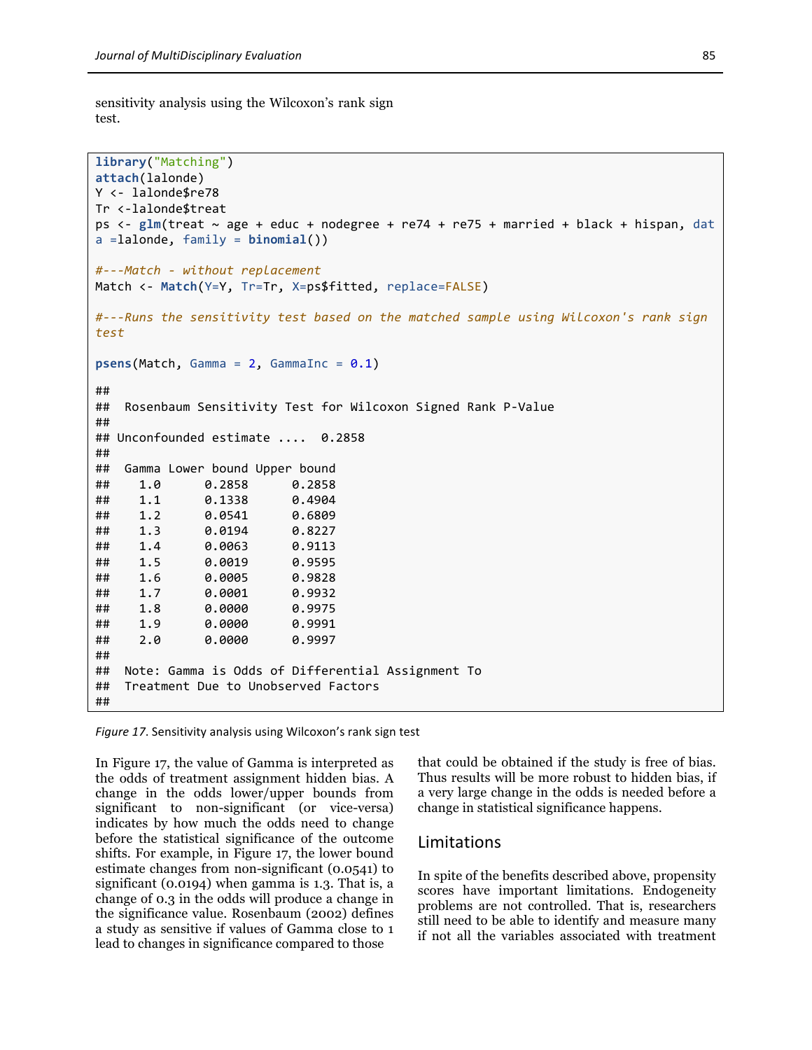sensitivity analysis using the Wilcoxon's rank sign test.

```
library("Matching")
attach(lalonde)
Y	<- lalonde$re78
Tr	<-lalonde$treat
ps <- glm(treat ~ age + educ + nodegree + re74 + re75 + married + black + hispan, dat
a	=lalonde,	family	= binomial())
#---Match	- without	replacement
Match <- Match(Y=Y, Tr=Tr, X=ps$fitted, replace=FALSE)
#---Runs	the	sensitivity	test	based	on	the	matched	sample	using	Wilcoxon's	rank	sign	
test
psens(Match, Gamma = 2, GammaInc = 0.1)##	
## Rosenbaum Sensitivity Test for Wilcoxon Signed Rank P-Value
##		
## Unconfounded estimate .... 0.2858
##	
## Gamma Lower bound Upper bound
##				1.0						0.2858						0.2858
##				1.1						0.1338						0.4904
##				1.2						0.0541						0.6809
##				1.3						0.0194						0.8227
##				1.4						0.0063						0.9113
##				1.5						0.0019						0.9595
##				1.6						0.0005						0.9828
##				1.7						0.0001						0.9932
##				1.8						0.0000						0.9975
##				1.9						0.0000						0.9991
##				2.0						0.0000						0.9997
##	
## Note: Gamma is Odds of Differential Assignment To
## Treatment Due to Unobserved Factors
##
```
*Figure 17.* Sensitivity analysis using Wilcoxon's rank sign test

In Figure 17, the value of Gamma is interpreted as the odds of treatment assignment hidden bias. A change in the odds lower/upper bounds from significant to non-significant (or vice-versa) indicates by how much the odds need to change before the statistical significance of the outcome shifts. For example, in Figure 17, the lower bound estimate changes from non-significant (0.0541) to significant (0.0194) when gamma is 1.3. That is, a change of 0.3 in the odds will produce a change in the significance value. Rosenbaum (2002) defines a study as sensitive if values of Gamma close to 1 lead to changes in significance compared to those

that could be obtained if the study is free of bias. Thus results will be more robust to hidden bias, if a very large change in the odds is needed before a change in statistical significance happens.

#### Limitations

In spite of the benefits described above, propensity scores have important limitations. Endogeneity problems are not controlled. That is, researchers still need to be able to identify and measure many if not all the variables associated with treatment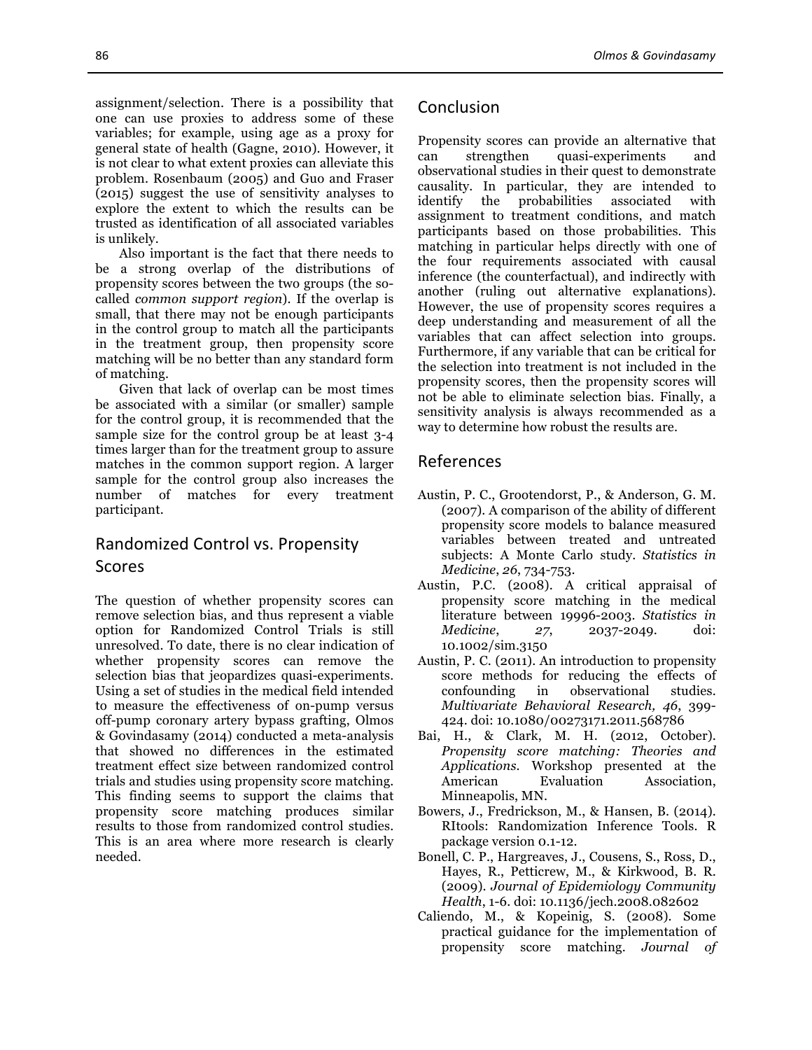assignment/selection. There is a possibility that one can use proxies to address some of these variables; for example, using age as a proxy for general state of health (Gagne, 2010). However, it is not clear to what extent proxies can alleviate this problem. Rosenbaum (2005) and Guo and Fraser (2015) suggest the use of sensitivity analyses to explore the extent to which the results can be trusted as identification of all associated variables is unlikely.

Also important is the fact that there needs to be a strong overlap of the distributions of propensity scores between the two groups (the socalled *common support region*). If the overlap is small, that there may not be enough participants in the control group to match all the participants in the treatment group, then propensity score matching will be no better than any standard form of matching.

Given that lack of overlap can be most times be associated with a similar (or smaller) sample for the control group, it is recommended that the sample size for the control group be at least 3-4 times larger than for the treatment group to assure matches in the common support region. A larger sample for the control group also increases the number of matches for every treatment participant.

# Randomized Control vs. Propensity Scores

The question of whether propensity scores can remove selection bias, and thus represent a viable option for Randomized Control Trials is still unresolved. To date, there is no clear indication of whether propensity scores can remove the selection bias that jeopardizes quasi-experiments. Using a set of studies in the medical field intended to measure the effectiveness of on-pump versus off-pump coronary artery bypass grafting, Olmos & Govindasamy (2014) conducted a meta-analysis that showed no differences in the estimated treatment effect size between randomized control trials and studies using propensity score matching. This finding seems to support the claims that propensity score matching produces similar results to those from randomized control studies. This is an area where more research is clearly needed.

# Conclusion

Propensity scores can provide an alternative that can strengthen quasi-experiments and observational studies in their quest to demonstrate causality. In particular, they are intended to identify the probabilities associated with assignment to treatment conditions, and match participants based on those probabilities. This matching in particular helps directly with one of the four requirements associated with causal inference (the counterfactual), and indirectly with another (ruling out alternative explanations). However, the use of propensity scores requires a deep understanding and measurement of all the variables that can affect selection into groups. Furthermore, if any variable that can be critical for the selection into treatment is not included in the propensity scores, then the propensity scores will not be able to eliminate selection bias. Finally, a sensitivity analysis is always recommended as a way to determine how robust the results are.

## References

- Austin, P. C., Grootendorst, P., & Anderson, G. M. (2007). A comparison of the ability of different propensity score models to balance measured variables between treated and untreated subjects: A Monte Carlo study. *Statistics in Medicine*, *26*, 734-753.
- Austin, P.C. (2008). A critical appraisal of propensity score matching in the medical literature between 19996-2003. *Statistics in Medicine*, *27*, 2037-2049. doi: 10.1002/sim.3150
- Austin, P. C. (2011). An introduction to propensity score methods for reducing the effects of confounding in observational studies. *Multivariate Behavioral Research, 46*, 399- 424. doi: 10.1080/00273171.2011.568786
- Bai, H., & Clark, M. H. (2012, October). *Propensity score matching: Theories and Applications*. Workshop presented at the American Evaluation Association, Minneapolis, MN.
- Bowers, J., Fredrickson, M., & Hansen, B. (2014). RItools: Randomization Inference Tools. R package version 0.1-12.
- Bonell, C. P., Hargreaves, J., Cousens, S., Ross, D., Hayes, R., Petticrew, M., & Kirkwood, B. R. (2009). *Journal of Epidemiology Community Health*, 1-6. doi: 10.1136/jech.2008.082602
- Caliendo, M., & Kopeinig, S. (2008). Some practical guidance for the implementation of propensity score matching. *Journal of*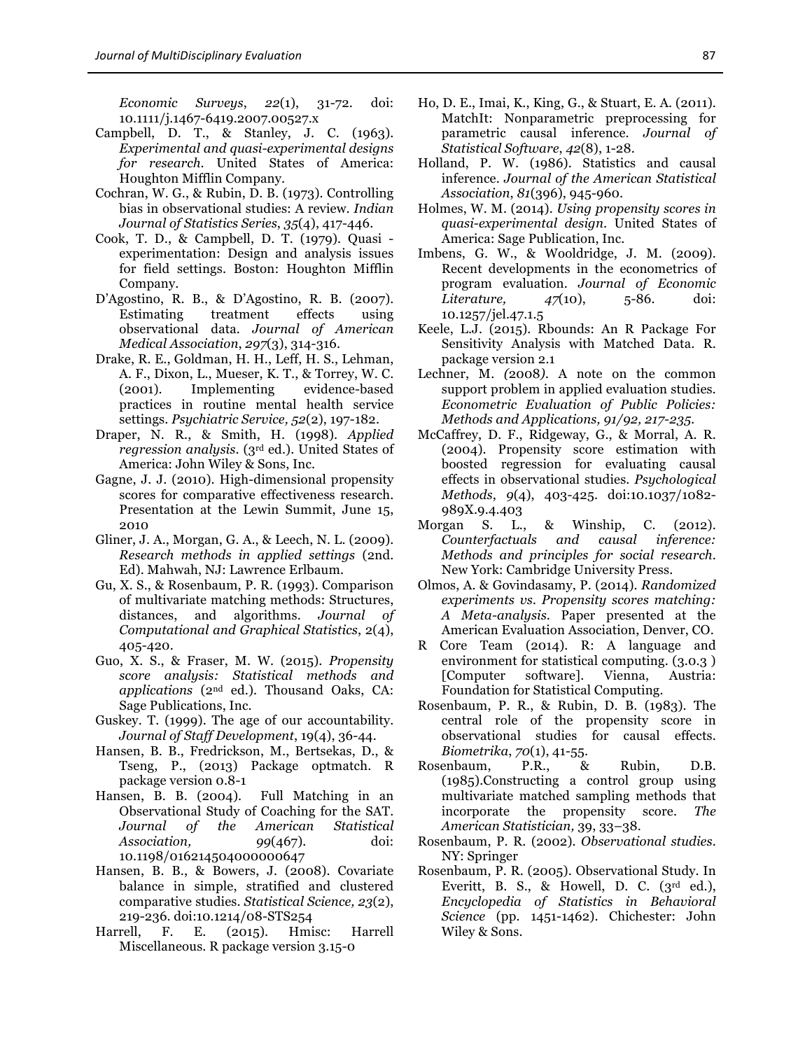*Economic Surveys*, *22*(1), 31-72. doi: 10.1111/j.1467-6419.2007.00527.x

- Campbell, D. T., & Stanley, J. C. (1963). *Experimental and quasi-experimental designs for research*. United States of America: Houghton Mifflin Company.
- Cochran, W. G., & Rubin, D. B. (1973). Controlling bias in observational studies: A review. *Indian Journal of Statistics Series*, *35*(4), 417-446.
- Cook, T. D., & Campbell, D. T. (1979). Quasi experimentation: Design and analysis issues for field settings. Boston: Houghton Mifflin Company.
- D'Agostino, R. B., & D'Agostino, R. B. (2007). Estimating treatment effects using observational data. *Journal of American Medical Association*, *297*(3), 314-316.
- Drake, R. E., Goldman, H. H., Leff, H. S., Lehman, A. F., Dixon, L., Mueser, K. T., & Torrey, W. C. (2001). Implementing evidence-based practices in routine mental health service settings. *Psychiatric Service, 52*(2), 197-182.
- Draper, N. R., & Smith, H. (1998). *Applied regression analysis*. (3rd ed.). United States of America: John Wiley & Sons, Inc.
- Gagne, J. J. (2010). High-dimensional propensity scores for comparative effectiveness research. Presentation at the Lewin Summit, June 15, 2010
- Gliner, J. A., Morgan, G. A., & Leech, N. L. (2009). *Research methods in applied settings* (2nd. Ed). Mahwah, NJ: Lawrence Erlbaum.
- Gu, X. S., & Rosenbaum, P. R. (1993). Comparison of multivariate matching methods: Structures, distances, and algorithms. *Journal of Computational and Graphical Statistics*, 2(4), 405-420.
- Guo, X. S., & Fraser, M. W. (2015). *Propensity score analysis: Statistical methods and applications* (2nd ed.). Thousand Oaks, CA: Sage Publications, Inc.
- Guskey. T. (1999). The age of our accountability. *Journal of Staff Development*, 19(4), 36-44.
- Hansen, B. B., Fredrickson, M., Bertsekas, D., & Tseng, P., (2013) Package optmatch. R package version 0.8-1
- Hansen, B. B. (2004). Full Matching in an Observational Study of Coaching for the SAT. *Journal of the American Statistical Association, 99*(467). doi: 10.1198/016214504000000647
- Hansen, B. B., & Bowers, J. (2008). Covariate balance in simple, stratified and clustered comparative studies. *Statistical Science, 23*(2), 219-236. doi:10.1214/08-STS254
- Harrell, F. E. (2015). Hmisc: Harrell Miscellaneous. R package version 3.15-0
- Ho, D. E., Imai, K., King, G., & Stuart, E. A. (2011). MatchIt: Nonparametric preprocessing for parametric causal inference. *Journal of Statistical Software*, *42*(8), 1-28.
- Holland, P. W. (1986). Statistics and causal inference. *Journal of the American Statistical Association*, *81*(396), 945-960.
- Holmes, W. M. (2014). *Using propensity scores in quasi-experimental design*. United States of America: Sage Publication, Inc.
- Imbens, G. W., & Wooldridge, J. M. (2009). Recent developments in the econometrics of program evaluation. *Journal of Economic Literature, 47*(10), 5-86. doi: 10.1257/jel.47.1.5
- Keele, L.J. (2015). Rbounds: An R Package For Sensitivity Analysis with Matched Data. R. package version 2.1
- Lechner, M. *(*2008*).* A note on the common support problem in applied evaluation studies*. Econometric Evaluation of Public Policies: Methods and Applications, 91/92, 217-235.*
- McCaffrey, D. F., Ridgeway, G., & Morral, A. R. (2004). Propensity score estimation with boosted regression for evaluating causal effects in observational studies. *Psychological Methods*, *9*(4), 403-425. doi:10.1037/1082- 989X.9.4.403
- Morgan S. L., & Winship, C. (2012). *Counterfactuals and causal inference: Methods and principles for social research*. New York: Cambridge University Press.
- Olmos, A. & Govindasamy, P. (2014). *Randomized experiments vs. Propensity scores matching: A Meta-analysis*. Paper presented at the American Evaluation Association, Denver, CO.
- R Core Team (2014). R: A language and environment for statistical computing. (3.0.3 ) [Computer software]. Vienna, Austria: Foundation for Statistical Computing.
- Rosenbaum, P. R., & Rubin, D. B. (1983). The central role of the propensity score in observational studies for causal effects. *Biometrika*, *70*(1), 41-55.
- Rosenbaum, P.R., & Rubin, D.B. (1985).Constructing a control group using multivariate matched sampling methods that incorporate the propensity score. *The American Statistician,* 39, 33–38.
- Rosenbaum, P. R. (2002). *Observational studies*. NY: Springer
- Rosenbaum, P. R. (2005). Observational Study. In Everitt, B. S., & Howell, D. C. (3rd ed.), *Encyclopedia of Statistics in Behavioral Science* (pp. 1451-1462). Chichester: John Wiley & Sons.